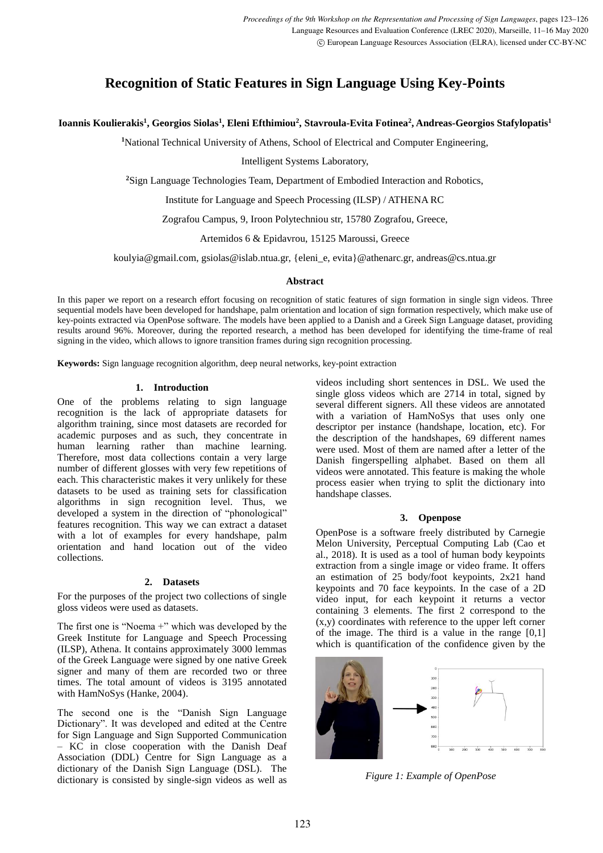# **Recognition of Static Features in Sign Language Using Key-Points**

## **Ioannis Koulierakis<sup>1</sup> , Georgios Siolas<sup>1</sup> , Eleni Efthimiou<sup>2</sup> , Stavroula-Evita Fotinea<sup>2</sup> , Andreas-Georgios Stafylopatis<sup>1</sup>**

**<sup>1</sup>**National Technical University of Athens, School of Electrical and Computer Engineering,

Intelligent Systems Laboratory,

**<sup>2</sup>**Sign Language Technologies Team, Department of Embodied Interaction and Robotics,

Institute for Language and Speech Processing (ILSP) / ATHENA RC

Zografou Campus, 9, Iroon Polytechniou str, 15780 Zografou, Greece,

Artemidos 6 & Epidavrou, 15125 Maroussi, Greece

koulyia@gmail.com, gsiolas@islab.ntua.gr, {eleni\_e, evita}@athenarc.gr, andreas@cs.ntua.gr

## **Abstract**

In this paper we report on a research effort focusing on recognition of static features of sign formation in single sign videos. Three sequential models have been developed for handshape, palm orientation and location of sign formation respectively, which make use of key-points extracted via OpenPose software. The models have been applied to a Danish and a Greek Sign Language dataset, providing results around 96%. Moreover, during the reported research, a method has been developed for identifying the time-frame of real signing in the video, which allows to ignore transition frames during sign recognition processing.

**Keywords:** Sign language recognition algorithm, deep neural networks, key-point extraction

## **1. Introduction**

One of the problems relating to sign language recognition is the lack of appropriate datasets for algorithm training, since most datasets are recorded for academic purposes and as such, they concentrate in human learning rather than machine learning. Therefore, most data collections contain a very large number of different glosses with very few repetitions of each. This characteristic makes it very unlikely for these datasets to be used as training sets for classification algorithms in sign recognition level. Thus, we developed a system in the direction of "phonological" features recognition. This way we can extract a dataset with a lot of examples for every handshape, palm orientation and hand location out of the video collections.

## **2. Datasets**

For the purposes of the project two collections of single gloss videos were used as datasets.

The first one is "Noema +" which was developed by the Greek Institute for Language and Speech Processing (ILSP), Athena. It contains approximately 3000 lemmas of the Greek Language were signed by one native Greek signer and many of them are recorded two or three times. The total amount of videos is 3195 annotated with HamNoSys (Hanke, 2004).

The second one is the "Danish Sign Language Dictionary". It was developed and edited at the Centre for Sign Language and Sign Supported Communication – KC in close cooperation with the Danish Deaf Association (DDL) Centre for Sign Language as a dictionary of the Danish Sign Language (DSL). The dictionary is consisted by single-sign videos as well as videos including short sentences in DSL. We used the single gloss videos which are 2714 in total, signed by several different signers. All these videos are annotated with a variation of HamNoSys that uses only one descriptor per instance (handshape, location, etc). For the description of the handshapes, 69 different names were used. Most of them are named after a letter of the Danish fingerspelling alphabet. Based on them all videos were annotated. This feature is making the whole process easier when trying to split the dictionary into handshape classes.

## **3. Openpose**

OpenPose is a software freely distributed by Carnegie Melon University, Perceptual Computing Lab (Cao et al., 2018). It is used as a tool of human body keypoints extraction from a single image or video frame. It offers an estimation of 25 body/foot keypoints, 2x21 hand keypoints and 70 face keypoints. In the case of a 2D video input, for each keypoint it returns a vector containing 3 elements. The first 2 correspond to the (x,y) coordinates with reference to the upper left corner of the image. The third is a value in the range  $[0,1]$ which is quantification of the confidence given by the



*Figure 1: Example of OpenPose*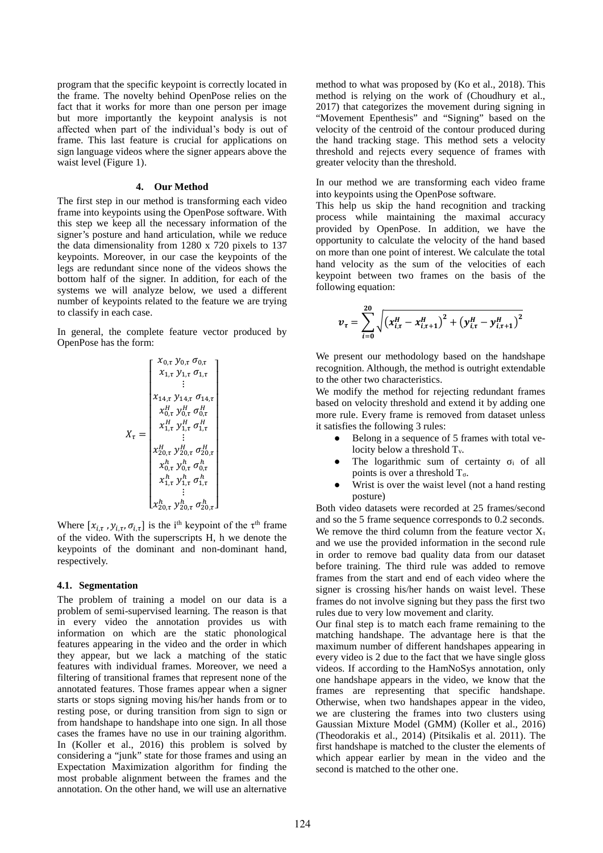program that the specific keypoint is correctly located in the frame. The novelty behind OpenPose relies on the fact that it works for more than one person per image but more importantly the keypoint analysis is not affected when part of the individual's body is out of frame. This last feature is crucial for applications on sign language videos where the signer appears above the waist level (Figure 1).

#### **4. Our Method**

The first step in our method is transforming each video frame into keypoints using the OpenPose software. With this step we keep all the necessary information of the signer's posture and hand articulation, while we reduce the data dimensionality from 1280 x 720 pixels to 137 keypoints. Moreover, in our case the keypoints of the legs are redundant since none of the videos shows the bottom half of the signer. In addition, for each of the systems we will analyze below, we used a different number of keypoints related to the feature we are trying to classify in each case.

In general, the complete feature vector produced by OpenPose has the form:

$$
X_{\tau} = \begin{bmatrix} x_{0,\tau} & y_{0,\tau} & \sigma_{0,\tau} \\ x_{1,\tau} & y_{1,\tau} & \sigma_{1,\tau} \\ \vdots & \vdots & \vdots \\ x_{14,\tau} & y_{14,\tau} & \sigma_{14,\tau} \\ x_{0,\tau} & y_{0,\tau} & \sigma_{0,\tau} \\ x_{1,\tau}^H & y_{1,\tau}^H & \sigma_{1,\tau}^H \\ \vdots & \vdots & \vdots \\ x_{20,\tau}^H & y_{20,\tau}^H & \sigma_{20,\tau}^H \\ x_{0,\tau}^h & y_{0,\tau}^h & \sigma_{0,\tau}^h \\ x_{1,\tau}^h & y_{1,\tau}^h & \sigma_{1,\tau}^h \\ \vdots & \vdots & \vdots \\ x_{20,\tau}^h & y_{20,\tau}^h & \sigma_{20,\tau}^h \end{bmatrix}
$$

Where  $[x_{i,\tau}, y_{i,\tau}, \sigma_{i,\tau}]$  is the i<sup>th</sup> keypoint of the  $\tau$ <sup>th</sup> frame of the video. With the superscripts H, h we denote the keypoints of the dominant and non-dominant hand, respectively.

#### **4.1. Segmentation**

The problem of training a model on our data is a problem of semi-supervised learning. The reason is that in every video the annotation provides us with information on which are the static phonological features appearing in the video and the order in which they appear, but we lack a matching of the static features with individual frames. Moreover, we need a filtering of transitional frames that represent none of the annotated features. Those frames appear when a signer starts or stops signing moving his/her hands from or to resting pose, or during transition from sign to sign or from handshape to handshape into one sign. In all those cases the frames have no use in our training algorithm. In (Koller et al., 2016) this problem is solved by considering a "junk" state for those frames and using an Expectation Maximization algorithm for finding the most probable alignment between the frames and the annotation. On the other hand, we will use an alternative

method to what was proposed by (Ko et al., 2018). This method is relying on the work of (Choudhury et al., 2017) that categorizes the movement during signing in "Movement Epenthesis" and "Signing" based on the velocity of the centroid of the contour produced during the hand tracking stage. This method sets a velocity threshold and rejects every sequence of frames with greater velocity than the threshold.

In our method we are transforming each video frame into keypoints using the OpenPose software.

This help us skip the hand recognition and tracking process while maintaining the maximal accuracy provided by OpenPose. In addition, we have the opportunity to calculate the velocity of the hand based on more than one point of interest. We calculate the total hand velocity as the sum of the velocities of each keypoint between two frames on the basis of the following equation:

$$
v_{\tau} = \sum_{i=0}^{20} \sqrt{(x_{i,\tau}^H - x_{i,\tau+1}^H)^2 + (y_{i,\tau}^H - y_{i,\tau+1}^H)^2}
$$

We present our methodology based on the handshape recognition. Although, the method is outright extendable to the other two characteristics.

We modify the method for rejecting redundant frames based on velocity threshold and extend it by adding one more rule. Every frame is removed from dataset unless it satisfies the following 3 rules:

- Belong in a sequence of 5 frames with total velocity below a threshold T<sub>y</sub>.
- The logarithmic sum of certainty  $\sigma_i$  of all points is over a threshold  $T_{\sigma}$ .
- Wrist is over the waist level (not a hand resting posture)

Both video datasets were recorded at 25 frames/second and so the 5 frame sequence corresponds to 0.2 seconds. We remove the third column from the feature vector  $X_t$ and we use the provided information in the second rule in order to remove bad quality data from our dataset before training. The third rule was added to remove frames from the start and end of each video where the signer is crossing his/her hands on waist level. These frames do not involve signing but they pass the first two rules due to very low movement and clarity.

Our final step is to match each frame remaining to the matching handshape. The advantage here is that the maximum number of different handshapes appearing in every video is 2 due to the fact that we have single gloss videos. If according to the HamNoSys annotation, only one handshape appears in the video, we know that the frames are representing that specific handshape. Otherwise, when two handshapes appear in the video, we are clustering the frames into two clusters using Gaussian Mixture Model (GMM) (Koller et al., 2016) (Theodorakis et al., 2014) (Pitsikalis et al. 2011). The first handshape is matched to the cluster the elements of which appear earlier by mean in the video and the second is matched to the other one.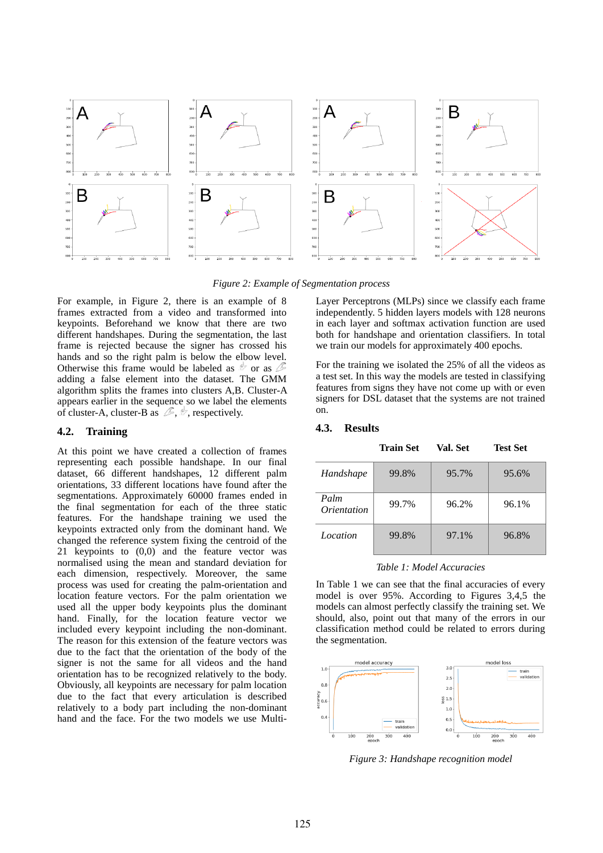

*Figure 2: Example of Segmentation process*

For example, in Figure 2, there is an example of 8 frames extracted from a video and transformed into keypoints. Beforehand we know that there are two different handshapes. During the segmentation, the last frame is rejected because the signer has crossed his hands and so the right palm is below the elbow level. Otherwise this frame would be labeled as  $\mathscr P$  or as  $\mathscr P$ adding a false element into the dataset. The GMM algorithm splits the frames into clusters A,B. Cluster-A appears earlier in the sequence so we label the elements of cluster-A, cluster-B as  $\mathscr{F}$ ,  $\mathscr{F}$ , respectively.

## **4.2. Training**

At this point we have created a collection of frames representing each possible handshape. In our final dataset, 66 different handshapes, 12 different palm orientations, 33 different locations have found after the segmentations. Approximately 60000 frames ended in the final segmentation for each of the three static features. For the handshape training we used the keypoints extracted only from the dominant hand. We changed the reference system fixing the centroid of the 21 keypoints to (0,0) and the feature vector was normalised using the mean and standard deviation for each dimension, respectively. Moreover, the same process was used for creating the palm-orientation and location feature vectors. For the palm orientation we used all the upper body keypoints plus the dominant hand. Finally, for the location feature vector we included every keypoint including the non-dominant. The reason for this extension of the feature vectors was due to the fact that the orientation of the body of the signer is not the same for all videos and the hand orientation has to be recognized relatively to the body. Obviously, all keypoints are necessary for palm location due to the fact that every articulation is described relatively to a body part including the non-dominant hand and the face. For the two models we use MultiLayer Perceptrons (MLPs) since we classify each frame independently. 5 hidden layers models with 128 neurons in each layer and softmax activation function are used both for handshape and orientation classifiers. In total we train our models for approximately 400 epochs.

For the training we isolated the 25% of all the videos as a test set. In this way the models are tested in classifying features from signs they have not come up with or even signers for DSL dataset that the systems are not trained on.

|                     | <b>Train Set</b> | Val. Set | <b>Test Set</b> |
|---------------------|------------------|----------|-----------------|
| Handshape           | 99.8%            | 95.7%    | 95.6%           |
| Palm<br>Orientation | 99.7%            | 96.2%    | 96.1%           |
| Location            | 99.8%            | 97.1%    | 96.8%           |

## **4.3. Results**

*Table 1: Model Accuracies*

In Table 1 we can see that the final accuracies of every model is over 95%. According to Figures 3,4,5 the models can almost perfectly classify the training set. We should, also, point out that many of the errors in our classification method could be related to errors during the segmentation.



*Figure 3: Handshape recognition model*